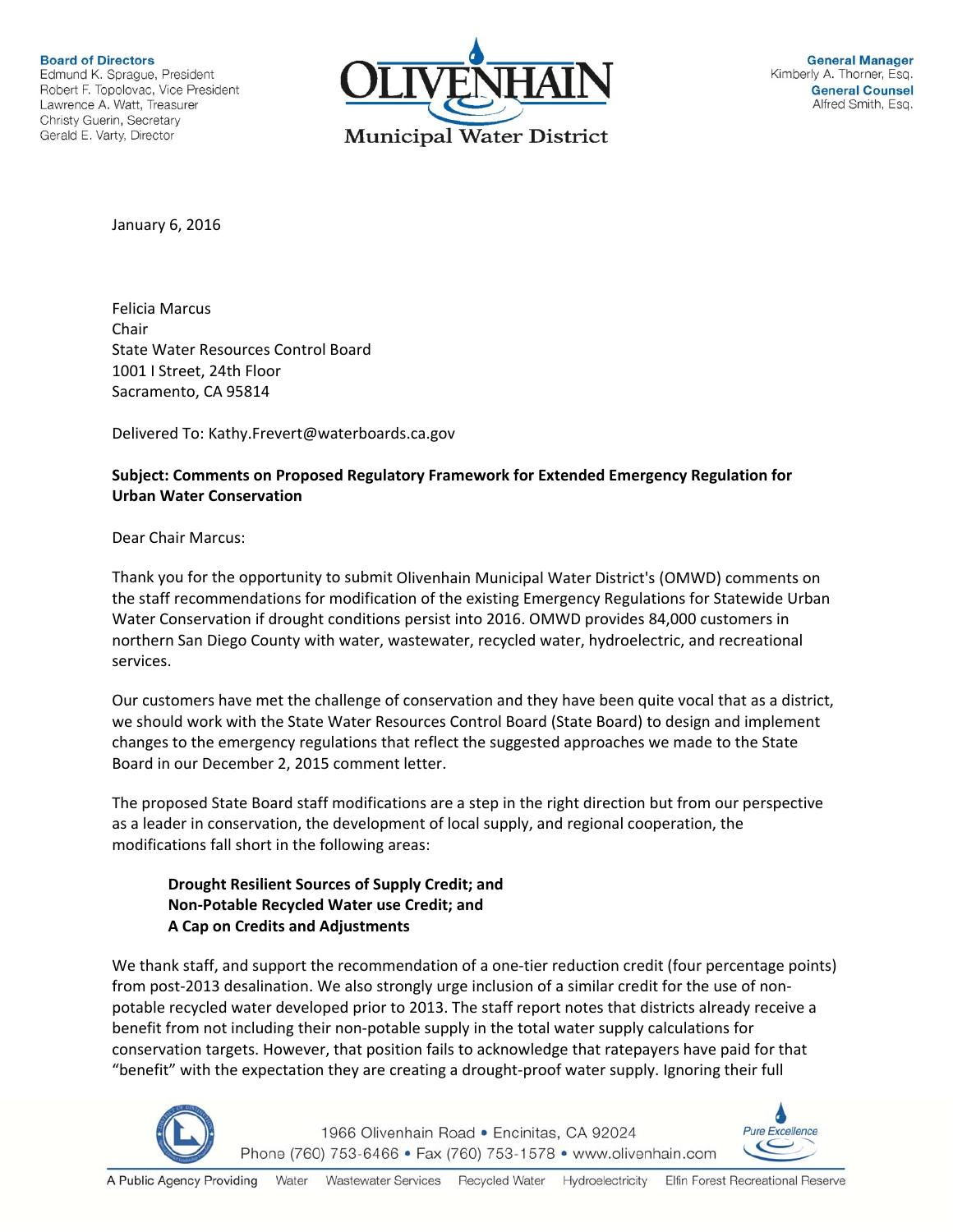**Board of Directors** Edmund K. Sprague, President Robert F. Topolovac, Vice President Lawrence A. Watt, Treasurer Christy Guerin, Secretary Gerald E. Varty, Director



January 6, 2016

Felicia Marcus Chair State Water Resources Control Board 1001 I Street, 24th Floor Sacramento, CA 95814

Delivered To: Kathy.Frevert@waterboards.ca.gov

# **Subject: Comments on Proposed Regulatory Framework for Extended Emergency Regulation for Urban Water Conservation**

Dear Chair Marcus:

Thank you for the opportunity to submit Olivenhain Municipal Water District's (OMWD) comments on the staff recommendations for modification of the existing Emergency Regulations for Statewide Urban Water Conservation if drought conditions persist into 2016. OMWD provides 84,000 customers in northern San Diego County with water, wastewater, recycled water, hydroelectric, and recreational services.

Our customers have met the challenge of conservation and they have been quite vocal that as a district, we should work with the State Water Resources Control Board (State Board) to design and implement changes to the emergency regulations that reflect the suggested approaches we made to the State Board in our December 2, 2015 comment letter.

The proposed State Board staff modifications are a step in the right direction but from our perspective as a leader in conservation, the development of local supply, and regional cooperation, the modifications fall short in the following areas:

### **Drought Resilient Sources of Supply Credit; and Non‐Potable Recycled Water use Credit; and A Cap on Credits and Adjustments**

We thank staff, and support the recommendation of a one-tier reduction credit (four percentage points) from post-2013 desalination. We also strongly urge inclusion of a similar credit for the use of nonpotable recycled water developed prior to 2013. The staff report notes that districts already receive a benefit from not including their non‐potable supply in the total water supply calculations for conservation targets. However, that position fails to acknowledge that ratepayers have paid for that "benefit" with the expectation they are creating a drought‐proof water supply. Ignoring their full



1966 Olivenhain Road · Encinitas, CA 92024 Phone (760) 753-6466 • Fax (760) 753-1578 • www.olivenhain.com

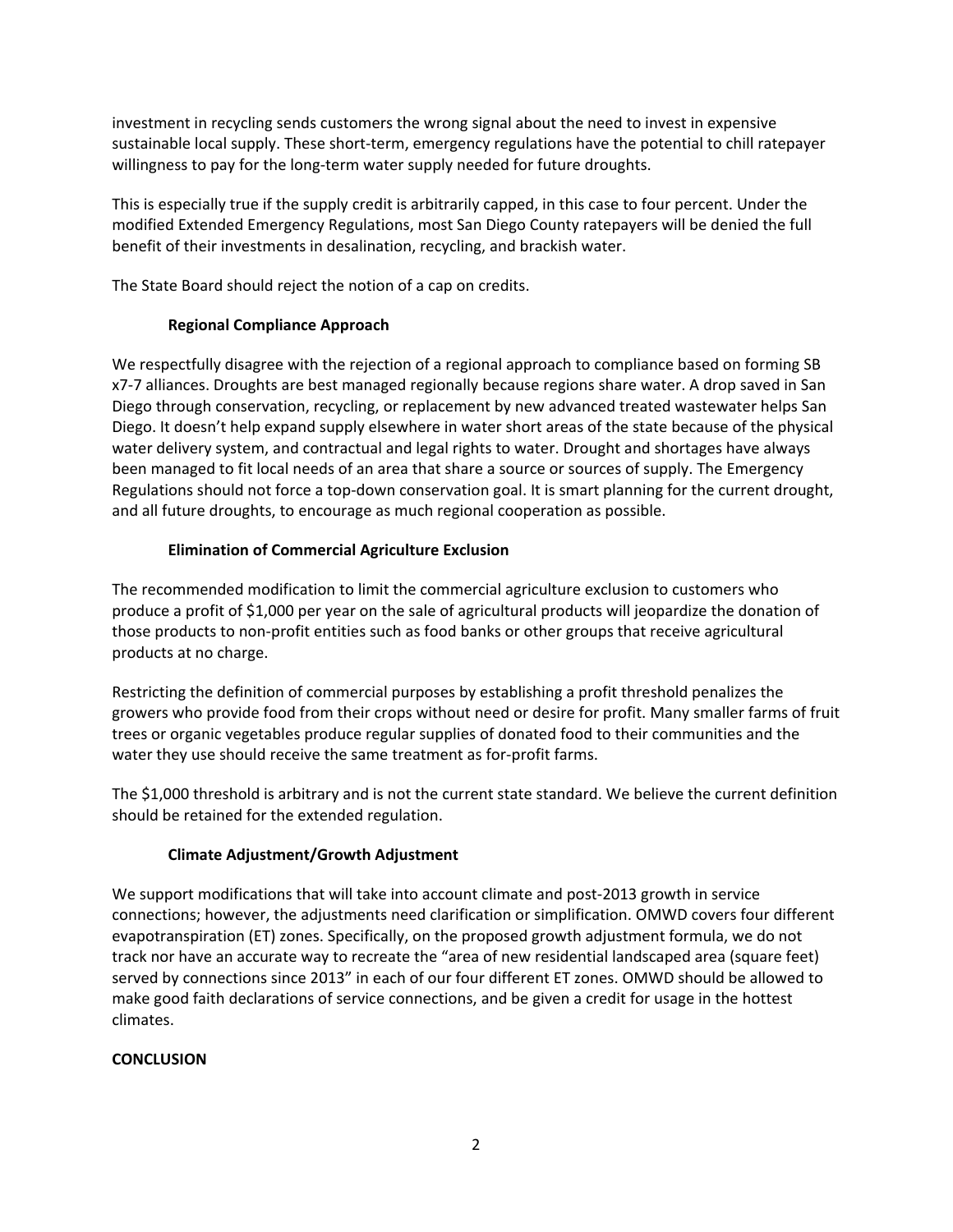investment in recycling sends customers the wrong signal about the need to invest in expensive sustainable local supply. These short‐term, emergency regulations have the potential to chill ratepayer willingness to pay for the long-term water supply needed for future droughts.

This is especially true if the supply credit is arbitrarily capped, in this case to four percent. Under the modified Extended Emergency Regulations, most San Diego County ratepayers will be denied the full benefit of their investments in desalination, recycling, and brackish water.

The State Board should reject the notion of a cap on credits.

### **Regional Compliance Approach**

We respectfully disagree with the rejection of a regional approach to compliance based on forming SB x7‐7 alliances. Droughts are best managed regionally because regions share water. A drop saved in San Diego through conservation, recycling, or replacement by new advanced treated wastewater helps San Diego. It doesn't help expand supply elsewhere in water short areas of the state because of the physical water delivery system, and contractual and legal rights to water. Drought and shortages have always been managed to fit local needs of an area that share a source or sources of supply. The Emergency Regulations should not force a top-down conservation goal. It is smart planning for the current drought, and all future droughts, to encourage as much regional cooperation as possible.

### **Elimination of Commercial Agriculture Exclusion**

The recommended modification to limit the commercial agriculture exclusion to customers who produce a profit of \$1,000 per year on the sale of agricultural products will jeopardize the donation of those products to non‐profit entities such as food banks or other groups that receive agricultural products at no charge.

Restricting the definition of commercial purposes by establishing a profit threshold penalizes the growers who provide food from their crops without need or desire for profit. Many smaller farms of fruit trees or organic vegetables produce regular supplies of donated food to their communities and the water they use should receive the same treatment as for-profit farms.

The \$1,000 threshold is arbitrary and is not the current state standard. We believe the current definition should be retained for the extended regulation.

# **Climate Adjustment/Growth Adjustment**

We support modifications that will take into account climate and post-2013 growth in service connections; however, the adjustments need clarification or simplification. OMWD covers four different evapotranspiration (ET) zones. Specifically, on the proposed growth adjustment formula, we do not track nor have an accurate way to recreate the "area of new residential landscaped area (square feet) served by connections since 2013" in each of our four different ET zones. OMWD should be allowed to make good faith declarations of service connections, and be given a credit for usage in the hottest climates.

#### **CONCLUSION**